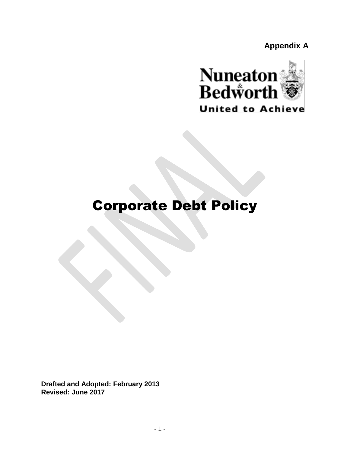**Appendix A**



# Corporate Debt Policy

**Drafted and Adopted: February 2013 Revised: June 2017**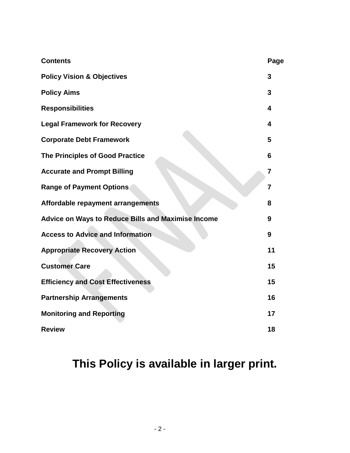| <b>Contents</b>                                           | Page           |
|-----------------------------------------------------------|----------------|
| <b>Policy Vision &amp; Objectives</b>                     | 3              |
| <b>Policy Aims</b>                                        | 3              |
| <b>Responsibilities</b>                                   | 4              |
| <b>Legal Framework for Recovery</b>                       | 4              |
| <b>Corporate Debt Framework</b>                           | 5              |
| The Principles of Good Practice                           | 6              |
| <b>Accurate and Prompt Billing</b>                        | 7              |
| <b>Range of Payment Options</b>                           | $\overline{7}$ |
| Affordable repayment arrangements                         | 8              |
| <b>Advice on Ways to Reduce Bills and Maximise Income</b> | 9              |
| <b>Access to Advice and Information</b>                   | 9              |
| <b>Appropriate Recovery Action</b>                        | 11             |
| <b>Customer Care</b>                                      | 15             |
| <b>Efficiency and Cost Effectiveness</b>                  | 15             |
| <b>Partnership Arrangements</b>                           | 16             |
| <b>Monitoring and Reporting</b>                           | 17             |
| <b>Review</b>                                             | 18             |

## **This Policy is available in larger print.**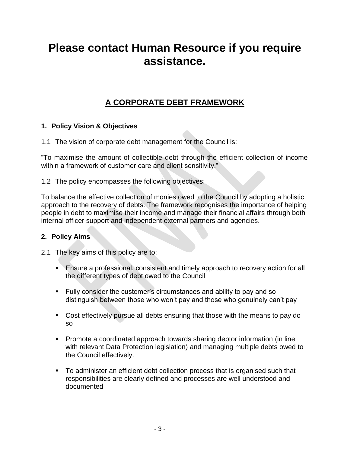## **Please contact Human Resource if you require assistance.**

## **A CORPORATE DEBT FRAMEWORK**

## **1. Policy Vision & Objectives**

1.1 The vision of corporate debt management for the Council is:

"To maximise the amount of collectible debt through the efficient collection of income within a framework of customer care and client sensitivity."

1.2 The policy encompasses the following objectives:

To balance the effective collection of monies owed to the Council by adopting a holistic approach to the recovery of debts. The framework recognises the importance of helping people in debt to maximise their income and manage their financial affairs through both internal officer support and independent external partners and agencies.

### **2. Policy Aims**

2.1 The key aims of this policy are to:

- **Ensure a professional, consistent and timely approach to recovery action for all** the different types of debt owed to the Council
- Fully consider the customer's circumstances and ability to pay and so distinguish between those who won't pay and those who genuinely can't pay
- Cost effectively pursue all debts ensuring that those with the means to pay do so
- Promote a coordinated approach towards sharing debtor information (in line with relevant Data Protection legislation) and managing multiple debts owed to the Council effectively.
- To administer an efficient debt collection process that is organised such that responsibilities are clearly defined and processes are well understood and documented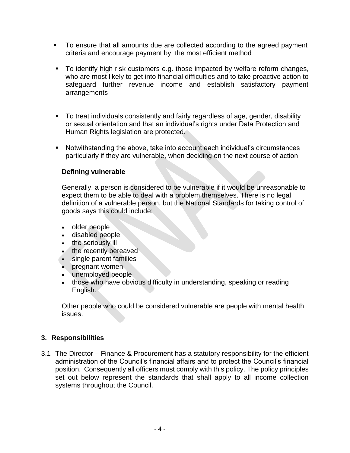- To ensure that all amounts due are collected according to the agreed payment criteria and encourage payment by the most efficient method
- To identify high risk customers e.g. those impacted by welfare reform changes, who are most likely to get into financial difficulties and to take proactive action to safeguard further revenue income and establish satisfactory payment arrangements
- To treat individuals consistently and fairly regardless of age, gender, disability or sexual orientation and that an individual's rights under Data Protection and Human Rights legislation are protected.
- Notwithstanding the above, take into account each individual's circumstances particularly if they are vulnerable, when deciding on the next course of action

## **Defining vulnerable**

Generally, a person is considered to be vulnerable if it would be unreasonable to expect them to be able to deal with a problem themselves. There is no legal definition of a vulnerable person, but the National Standards for taking control of goods says this could include:

- older people
- disabled people
- the seriously ill
- the recently bereaved
- single parent families
- pregnant women
- unemployed people
- those who have obvious difficulty in understanding, speaking or reading English.

Other people who could be considered vulnerable are people with mental health issues.

## **3. Responsibilities**

3.1 The Director – Finance & Procurement has a statutory responsibility for the efficient administration of the Council's financial affairs and to protect the Council's financial position. Consequently all officers must comply with this policy. The policy principles set out below represent the standards that shall apply to all income collection systems throughout the Council.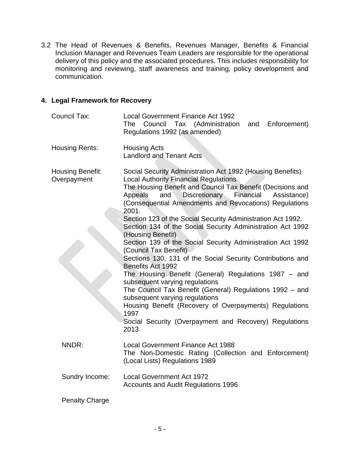3.2 The Head of Revenues & Benefits, Revenues Manager, Benefits & Financial Inclusion Manager and Revenues Team Leaders are responsible for the operational delivery of this policy and the associated procedures. This includes responsibility for monitoring and reviewing, staff awareness and training, policy development and communication.

### **4. Legal Framework for Recovery**

| Council Tax:                    | <b>Local Government Finance Act 1992</b><br>Tax (Administration<br>Enforcement)<br>The Council<br>and<br>Regulations 1992 (as amended)                                                                                                                                                                                                                                                                                                                                                                                                                                                                                                                                                                                                                                                                                                                                                                                                                          |
|---------------------------------|-----------------------------------------------------------------------------------------------------------------------------------------------------------------------------------------------------------------------------------------------------------------------------------------------------------------------------------------------------------------------------------------------------------------------------------------------------------------------------------------------------------------------------------------------------------------------------------------------------------------------------------------------------------------------------------------------------------------------------------------------------------------------------------------------------------------------------------------------------------------------------------------------------------------------------------------------------------------|
| Housing Rents:                  | <b>Housing Acts</b><br><b>Landlord and Tenant Acts</b>                                                                                                                                                                                                                                                                                                                                                                                                                                                                                                                                                                                                                                                                                                                                                                                                                                                                                                          |
| Housing Benefit:<br>Overpayment | Social Security Administration Act 1992 (Housing Benefits)<br><b>Local Authority Financial Regulations</b><br>The Housing Benefit and Council Tax Benefit (Decisions and<br>Discretionary Financial<br>and<br>Assistance)<br>Appeals<br>(Consequential Amendments and Revocations) Regulations<br>2001.<br>Section 123 of the Social Security Administration Act 1992.<br>Section 134 of the Social Security Administration Act 1992<br>(Housing Benefit)<br>Section 139 of the Social Security Administration Act 1992<br>(Council Tax Benefit)<br>Sections 130, 131 of the Social Security Contributions and<br>Benefits Act 1992<br>The Housing Benefit (General) Regulations 1987 – and<br>subsequent varying regulations<br>The Council Tax Benefit (General) Regulations 1992 - and<br>subsequent varying regulations<br>Housing Benefit (Recovery of Overpayments) Regulations<br>1997<br>Social Security (Overpayment and Recovery) Regulations<br>2013 |
| NNDR:                           | <b>Local Government Finance Act 1988</b><br>The Non-Domestic Rating (Collection and Enforcement)<br>(Local Lists) Regulations 1989                                                                                                                                                                                                                                                                                                                                                                                                                                                                                                                                                                                                                                                                                                                                                                                                                              |
| Sundry Income:                  | <b>Local Government Act 1972</b><br><b>Accounts and Audit Regulations 1996</b>                                                                                                                                                                                                                                                                                                                                                                                                                                                                                                                                                                                                                                                                                                                                                                                                                                                                                  |
| <b>Penalty Charge</b>           |                                                                                                                                                                                                                                                                                                                                                                                                                                                                                                                                                                                                                                                                                                                                                                                                                                                                                                                                                                 |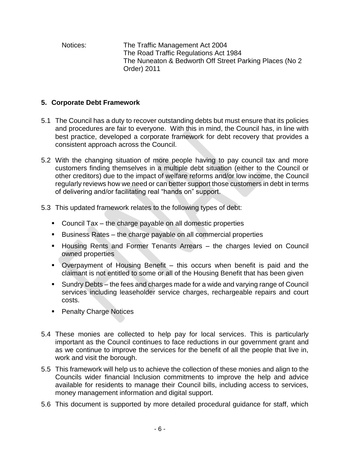Notices: The Traffic Management Act 2004 The Road Traffic Regulations Act 1984 The Nuneaton & Bedworth Off Street Parking Places (No 2 Order) 2011

## **5. Corporate Debt Framework**

- 5.1 The Council has a duty to recover outstanding debts but must ensure that its policies and procedures are fair to everyone. With this in mind, the Council has, in line with best practice, developed a corporate framework for debt recovery that provides a consistent approach across the Council.
- 5.2 With the changing situation of more people having to pay council tax and more customers finding themselves in a multiple debt situation (either to the Council or other creditors) due to the impact of welfare reforms and/or low income, the Council regularly reviews how we need or can better support those customers in debt in terms of delivering and/or facilitating real "hands on" support.
- 5.3 This updated framework relates to the following types of debt:
	- Council Tax the charge payable on all domestic properties
	- Business Rates the charge payable on all commercial properties
	- Housing Rents and Former Tenants Arrears the charges levied on Council owned properties
	- Overpayment of Housing Benefit this occurs when benefit is paid and the claimant is not entitled to some or all of the Housing Benefit that has been given
	- Sundry Debts the fees and charges made for a wide and varying range of Council services including leaseholder service charges, rechargeable repairs and court costs.
	- **Penalty Charge Notices**
- 5.4 These monies are collected to help pay for local services. This is particularly important as the Council continues to face reductions in our government grant and as we continue to improve the services for the benefit of all the people that live in, work and visit the borough.
- 5.5 This framework will help us to achieve the collection of these monies and align to the Councils wider financial Inclusion commitments to improve the help and advice available for residents to manage their Council bills, including access to services, money management information and digital support.
- 5.6 This document is supported by more detailed procedural guidance for staff, which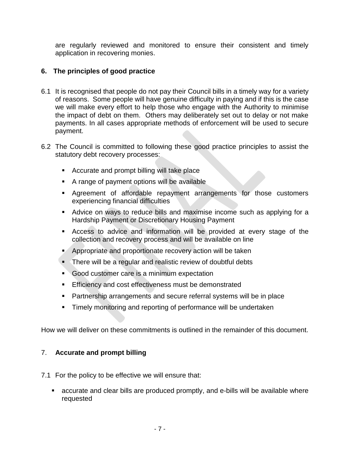are regularly reviewed and monitored to ensure their consistent and timely application in recovering monies.

## **6. The principles of good practice**

- 6.1 It is recognised that people do not pay their Council bills in a timely way for a variety of reasons. Some people will have genuine difficulty in paying and if this is the case we will make every effort to help those who engage with the Authority to minimise the impact of debt on them. Others may deliberately set out to delay or not make payments. In all cases appropriate methods of enforcement will be used to secure payment.
- 6.2 The Council is committed to following these good practice principles to assist the statutory debt recovery processes:
	- **Accurate and prompt billing will take place**
	- A range of payment options will be available
	- Agreement of affordable repayment arrangements for those customers experiencing financial difficulties
	- Advice on ways to reduce bills and maximise income such as applying for a Hardship Payment or Discretionary Housing Payment
	- Access to advice and information will be provided at every stage of the collection and recovery process and will be available on line
	- **Appropriate and proportionate recovery action will be taken**
	- There will be a regular and realistic review of doubtful debts
	- Good customer care is a minimum expectation
	- **Efficiency and cost effectiveness must be demonstrated**
	- Partnership arrangements and secure referral systems will be in place
	- **Timely monitoring and reporting of performance will be undertaken**

How we will deliver on these commitments is outlined in the remainder of this document.

## 7. **Accurate and prompt billing**

- 7.1 For the policy to be effective we will ensure that:
	- accurate and clear bills are produced promptly, and e-bills will be available where requested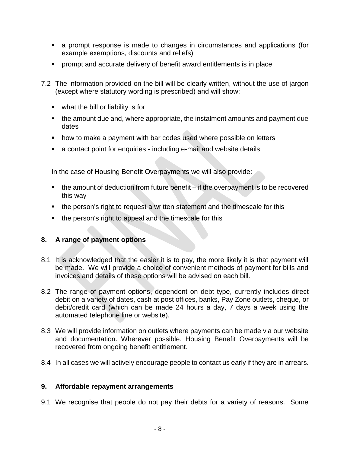- a prompt response is made to changes in circumstances and applications (for example exemptions, discounts and reliefs)
- prompt and accurate delivery of benefit award entitlements is in place
- 7.2 The information provided on the bill will be clearly written, without the use of jargon (except where statutory wording is prescribed) and will show:
	- what the bill or liability is for
	- the amount due and, where appropriate, the instalment amounts and payment due dates
	- how to make a payment with bar codes used where possible on letters
	- a contact point for enquiries including e-mail and website details

In the case of Housing Benefit Overpayments we will also provide:

- $\blacksquare$  the amount of deduction from future benefit if the overpayment is to be recovered this way
- **the person's right to request a written statement and the timescale for this**
- the person's right to appeal and the timescale for this

## **8. A range of payment options**

- 8.1 It is acknowledged that the easier it is to pay, the more likely it is that payment will be made. We will provide a choice of convenient methods of payment for bills and invoices and details of these options will be advised on each bill.
- 8.2 The range of payment options, dependent on debt type, currently includes direct debit on a variety of dates, cash at post offices, banks, Pay Zone outlets, cheque, or debit/credit card (which can be made 24 hours a day, 7 days a week using the automated telephone line or website).
- 8.3 We will provide information on outlets where payments can be made via our website and documentation. Wherever possible, Housing Benefit Overpayments will be recovered from ongoing benefit entitlement.
- 8.4 In all cases we will actively encourage people to contact us early if they are in arrears.

## **9. Affordable repayment arrangements**

9.1 We recognise that people do not pay their debts for a variety of reasons. Some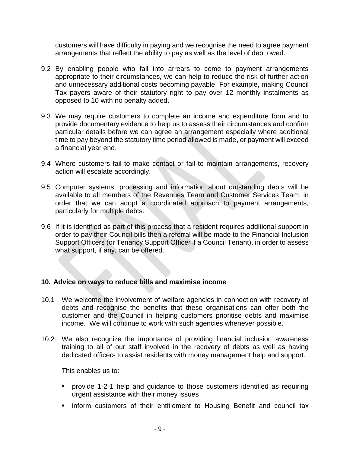customers will have difficulty in paying and we recognise the need to agree payment arrangements that reflect the ability to pay as well as the level of debt owed.

- 9.2 By enabling people who fall into arrears to come to payment arrangements appropriate to their circumstances, we can help to reduce the risk of further action and unnecessary additional costs becoming payable. For example, making Council Tax payers aware of their statutory right to pay over 12 monthly instalments as opposed to 10 with no penalty added.
- 9.3 We may require customers to complete an income and expenditure form and to provide documentary evidence to help us to assess their circumstances and confirm particular details before we can agree an arrangement especially where additional time to pay beyond the statutory time period allowed is made, or payment will exceed a financial year end.
- 9.4 Where customers fail to make contact or fail to maintain arrangements, recovery action will escalate accordingly.
- 9.5 Computer systems, processing and information about outstanding debts will be available to all members of the Revenues Team and Customer Services Team, in order that we can adopt a coordinated approach to payment arrangements, particularly for multiple debts.
- 9.6 If it is identified as part of this process that a resident requires additional support in order to pay their Council bills then a referral will be made to the Financial Inclusion Support Officers (or Tenancy Support Officer if a Council Tenant), in order to assess what support, if any, can be offered.

### **10. Advice on ways to reduce bills and maximise income**

- 10.1 We welcome the involvement of welfare agencies in connection with recovery of debts and recognise the benefits that these organisations can offer both the customer and the Council in helping customers prioritise debts and maximise income. We will continue to work with such agencies whenever possible.
- 10.2 We also recognize the importance of providing financial inclusion awareness training to all of our staff involved in the recovery of debts as well as having dedicated officers to assist residents with money management help and support.

This enables us to:

- provide 1-2-1 help and guidance to those customers identified as requiring urgent assistance with their money issues
- **•** inform customers of their entitlement to Housing Benefit and council tax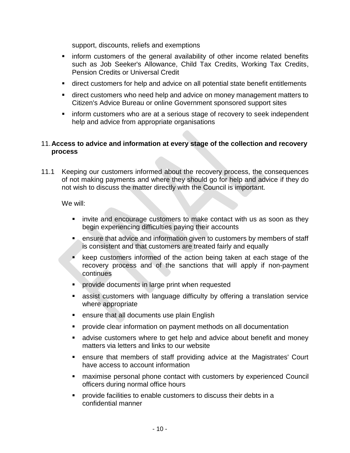support, discounts, reliefs and exemptions

- **EXT** inform customers of the general availability of other income related benefits such as Job Seeker's Allowance, Child Tax Credits, Working Tax Credits, Pension Credits or Universal Credit
- direct customers for help and advice on all potential state benefit entitlements
- **direct customers who need help and advice on money management matters to** Citizen's Advice Bureau or online Government sponsored support sites
- **F** inform customers who are at a serious stage of recovery to seek independent help and advice from appropriate organisations

## 11.**Access to advice and information at every stage of the collection and recovery process**

11.1 Keeping our customers informed about the recovery process, the consequences of not making payments and where they should go for help and advice if they do not wish to discuss the matter directly with the Council is important.

We will:

- **•** invite and encourage customers to make contact with us as soon as they begin experiencing difficulties paying their accounts
- **EXT** ensure that advice and information given to customers by members of staff is consistent and that customers are treated fairly and equally
- **Keep customers informed of the action being taken at each stage of the** recovery process and of the sanctions that will apply if non-payment continues
- **Provide documents in large print when requested**
- assist customers with language difficulty by offering a translation service where appropriate
- **EXECUTE:** ensure that all documents use plain English
- provide clear information on payment methods on all documentation
- advise customers where to get help and advice about benefit and money matters via letters and links to our website
- ensure that members of staff providing advice at the Magistrates' Court have access to account information
- maximise personal phone contact with customers by experienced Council officers during normal office hours
- **•** provide facilities to enable customers to discuss their debts in a confidential manner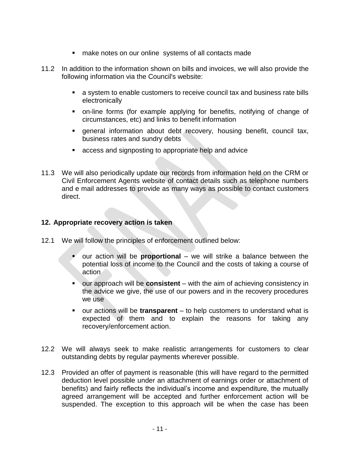- make notes on our online systems of all contacts made
- 11.2 In addition to the information shown on bills and invoices, we will also provide the following information via the Council's website:
	- a system to enable customers to receive council tax and business rate bills electronically
	- on-line forms (for example applying for benefits, notifying of change of circumstances, etc) and links to benefit information
	- general information about debt recovery, housing benefit, council tax, business rates and sundry debts
	- access and signposting to appropriate help and advice
- 11.3 We will also periodically update our records from information held on the CRM or Civil Enforcement Agents website of contact details such as telephone numbers and e mail addresses to provide as many ways as possible to contact customers direct.

### **12. Appropriate recovery action is taken**

- 12.1 We will follow the principles of enforcement outlined below:
	- our action will be **proportional**  we will strike a balance between the potential loss of income to the Council and the costs of taking a course of action
	- our approach will be **consistent** with the aim of achieving consistency in the advice we give, the use of our powers and in the recovery procedures we use
	- our actions will be **transparent**  to help customers to understand what is expected of them and to explain the reasons for taking any recovery/enforcement action.
- 12.2 We will always seek to make realistic arrangements for customers to clear outstanding debts by regular payments wherever possible.
- 12.3 Provided an offer of payment is reasonable (this will have regard to the permitted deduction level possible under an attachment of earnings order or attachment of benefits) and fairly reflects the individual's income and expenditure, the mutually agreed arrangement will be accepted and further enforcement action will be suspended. The exception to this approach will be when the case has been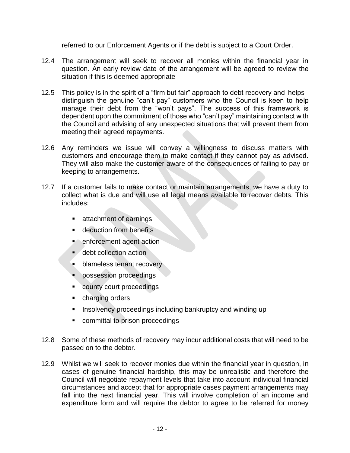referred to our Enforcement Agents or if the debt is subject to a Court Order.

- 12.4 The arrangement will seek to recover all monies within the financial year in question. An early review date of the arrangement will be agreed to review the situation if this is deemed appropriate
- 12.5 This policy is in the spirit of a "firm but fair" approach to debt recovery and helps distinguish the genuine "can't pay" customers who the Council is keen to help manage their debt from the "won't pays". The success of this framework is dependent upon the commitment of those who "can't pay" maintaining contact with the Council and advising of any unexpected situations that will prevent them from meeting their agreed repayments.
- 12.6 Any reminders we issue will convey a willingness to discuss matters with customers and encourage them to make contact if they cannot pay as advised. They will also make the customer aware of the consequences of failing to pay or keeping to arrangements.
- 12.7 If a customer fails to make contact or maintain arrangements, we have a duty to collect what is due and will use all legal means available to recover debts. This includes:
	- **Exercise 2** attachment of earnings
	- **deduction from benefits**
	- $\blacksquare$  enforcement agent action
	- **debt collection action**
	- **blameless tenant recovery**
	- **•** possession proceedings
	- county court proceedings
	- **•** charging orders
	- **Insolvency proceedings including bankruptcy and winding up**
	- **EXECOMMITE COMMITED EXECUTE:** committal to prison proceedings
- 12.8 Some of these methods of recovery may incur additional costs that will need to be passed on to the debtor.
- 12.9 Whilst we will seek to recover monies due within the financial year in question, in cases of genuine financial hardship, this may be unrealistic and therefore the Council will negotiate repayment levels that take into account individual financial circumstances and accept that for appropriate cases payment arrangements may fall into the next financial year. This will involve completion of an income and expenditure form and will require the debtor to agree to be referred for money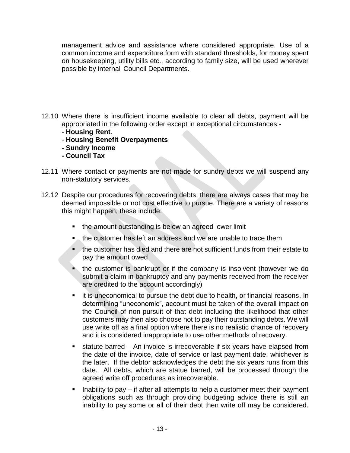management advice and assistance where considered appropriate. Use of a common income and expenditure form with standard thresholds, for money spent on housekeeping, utility bills etc., according to family size, will be used wherever possible by internal Council Departments.

- 12.10 Where there is insufficient income available to clear all debts, payment will be appropriated in the following order except in exceptional circumstances:-
	- **Housing Rent**.
	- **Housing Benefit Overpayments**
	- **- Sundry Income**
	- **- Council Tax**
- 12.11 Where contact or payments are not made for sundry debts we will suspend any non-statutory services.
- 12.12 Despite our procedures for recovering debts, there are always cases that may be deemed impossible or not cost effective to pursue. There are a variety of reasons this might happen, these include:
	- the amount outstanding is below an agreed lower limit
	- **the customer has left an address and we are unable to trace them**
	- the customer has died and there are not sufficient funds from their estate to pay the amount owed
	- **the customer is bankrupt or if the company is insolvent (however we do** submit a claim in bankruptcy and any payments received from the receiver are credited to the account accordingly)
	- it is uneconomical to pursue the debt due to health, or financial reasons. In determining "uneconomic", account must be taken of the overall impact on the Council of non-pursuit of that debt including the likelihood that other customers may then also choose not to pay their outstanding debts. We will use write off as a final option where there is no realistic chance of recovery and it is considered inappropriate to use other methods of recovery.
	- statute barred An invoice is irrecoverable if six years have elapsed from the date of the invoice, date of service or last payment date, whichever is the later. If the debtor acknowledges the debt the six years runs from this date. All debts, which are statue barred, will be processed through the agreed write off procedures as irrecoverable.
	- Inability to pay if after all attempts to help a customer meet their payment obligations such as through providing budgeting advice there is still an inability to pay some or all of their debt then write off may be considered.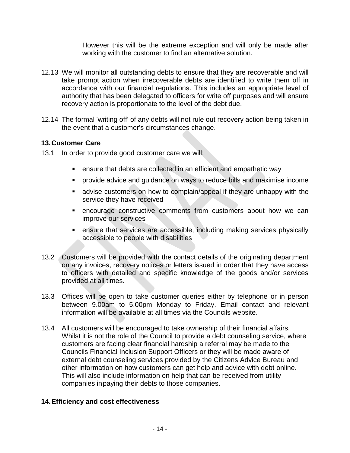However this will be the extreme exception and will only be made after working with the customer to find an alternative solution.

- 12.13 We will monitor all outstanding debts to ensure that they are recoverable and will take prompt action when irrecoverable debts are identified to write them off in accordance with our financial regulations. This includes an appropriate level of authority that has been delegated to officers for write off purposes and will ensure recovery action is proportionate to the level of the debt due.
- 12.14 The formal 'writing off' of any debts will not rule out recovery action being taken in the event that a customer's circumstances change.

## **13.Customer Care**

- 13.1 In order to provide good customer care we will:
	- ensure that debts are collected in an efficient and empathetic way
	- provide advice and guidance on ways to reduce bills and maximise income
	- advise customers on how to complain/appeal if they are unhappy with the service they have received
	- encourage constructive comments from customers about how we can improve our services
	- ensure that services are accessible, including making services physically accessible to people with disabilities
- 13.2 Customers will be provided with the contact details of the originating department on any invoices, recovery notices or letters issued in order that they have access to officers with detailed and specific knowledge of the goods and/or services provided at all times.
- 13.3 Offices will be open to take customer queries either by telephone or in person between 9.00am to 5.00pm Monday to Friday. Email contact and relevant information will be available at all times via the Councils website.
- 13.4 All customers will be encouraged to take ownership of their financial affairs. Whilst it is not the role of the Council to provide a debt counseling service, where customers are facing clear financial hardship a referral may be made to the Councils Financial Inclusion Support Officers or they will be made aware of external debt counseling services provided by the Citizens Advice Bureau and other information on how customers can get help and advice with debt online. This will also include information on help that can be received from utility companies inpaying their debts to those companies.

## **14.Efficiency and cost effectiveness**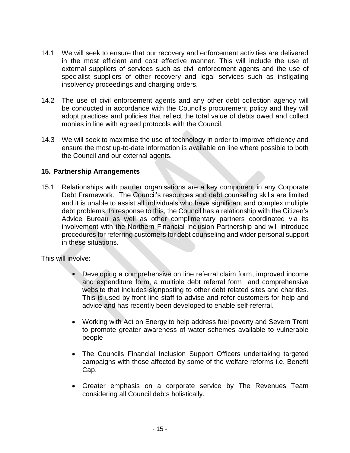- 14.1 We will seek to ensure that our recovery and enforcement activities are delivered in the most efficient and cost effective manner. This will include the use of external suppliers of services such as civil enforcement agents and the use of specialist suppliers of other recovery and legal services such as instigating insolvency proceedings and charging orders.
- 14.2 The use of civil enforcement agents and any other debt collection agency will be conducted in accordance with the Council's procurement policy and they will adopt practices and policies that reflect the total value of debts owed and collect monies in line with agreed protocols with the Council.
- 14.3 We will seek to maximise the use of technology in order to improve efficiency and ensure the most up-to-date information is available on line where possible to both the Council and our external agents.

## **15. Partnership Arrangements**

15.1 Relationships with partner organisations are a key component in any Corporate Debt Framework. The Council's resources and debt counseling skills are limited and it is unable to assist all individuals who have significant and complex multiple debt problems. In response to this, the Council has a relationship with the Citizen's Advice Bureau as well as other complimentary partners coordinated via its involvement with the Northern Financial Inclusion Partnership and will introduce procedures for referring customers for debt counseling and wider personal support in these situations.

This will involve:

- Developing a comprehensive on line referral claim form, improved income and expenditure form, a multiple debt referral form and comprehensive website that includes signposting to other debt related sites and charities. This is used by front line staff to advise and refer customers for help and advice and has recently been developed to enable self-referral.
- Working with Act on Energy to help address fuel poverty and Severn Trent to promote greater awareness of water schemes available to vulnerable people
- The Councils Financial Inclusion Support Officers undertaking targeted campaigns with those affected by some of the welfare reforms i.e. Benefit Cap.
- Greater emphasis on a corporate service by The Revenues Team considering all Council debts holistically.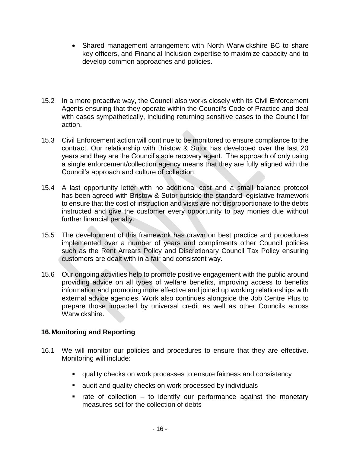- Shared management arrangement with North Warwickshire BC to share key officers, and Financial Inclusion expertise to maximize capacity and to develop common approaches and policies.
- 15.2 In a more proactive way, the Council also works closely with its Civil Enforcement Agents ensuring that they operate within the Council's Code of Practice and deal with cases sympathetically, including returning sensitive cases to the Council for action.
- 15.3 Civil Enforcement action will continue to be monitored to ensure compliance to the contract. Our relationship with Bristow & Sutor has developed over the last 20 years and they are the Council's sole recovery agent. The approach of only using a single enforcement/collection agency means that they are fully aligned with the Council's approach and culture of collection.
- 15.4 A last opportunity letter with no additional cost and a small balance protocol has been agreed with Bristow & Sutor outside the standard legislative framework to ensure that the cost of instruction and visits are not disproportionate to the debts instructed and give the customer every opportunity to pay monies due without further financial penalty.
- 15.5 The development of this framework has drawn on best practice and procedures implemented over a number of years and compliments other Council policies such as the Rent Arrears Policy and Discretionary Council Tax Policy ensuring customers are dealt with in a fair and consistent way.
- 15.6 Our ongoing activities help to promote positive engagement with the public around providing advice on all types of welfare benefits, improving access to benefits information and promoting more effective and joined up working relationships with external advice agencies. Work also continues alongside the Job Centre Plus to prepare those impacted by universal credit as well as other Councils across Warwickshire.

## **16.Monitoring and Reporting**

- 16.1 We will monitor our policies and procedures to ensure that they are effective. Monitoring will include:
	- quality checks on work processes to ensure fairness and consistency
	- **E** audit and quality checks on work processed by individuals
	- $\blacksquare$  rate of collection to identify our performance against the monetary measures set for the collection of debts